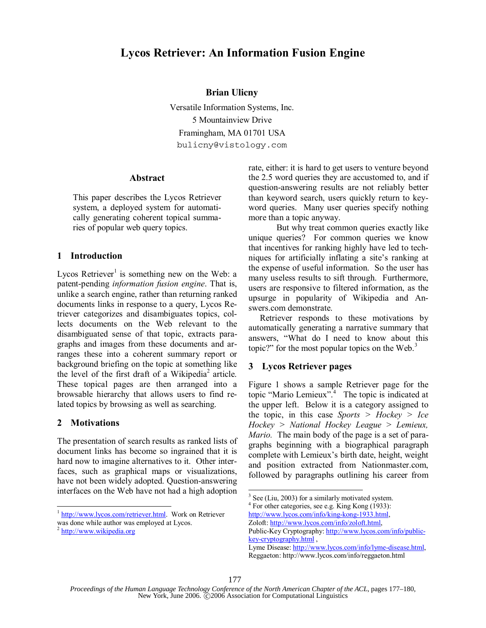# **Lycos Retriever: An Information Fusion Engine**

#### **Brian Ulicny**

 Versatile Information Systems, Inc. 5 Mountainview Drive Framingham, MA 01701 USA bulicny@vistology.com

#### **Abstract**

This paper describes the Lycos Retriever system, a deployed system for automatically generating coherent topical summaries of popular web query topics.

## **1 Introduction**

Lycos Retriever<sup>1</sup> is something new on the Web: a patent-pending *information fusion engine*. That is, unlike a search engine, rather than returning ranked documents links in response to a query, Lycos Retriever categorizes and disambiguates topics, collects documents on the Web relevant to the disambiguated sense of that topic, extracts paragraphs and images from these documents and arranges these into a coherent summary report or background briefing on the topic at something like the level of the first draft of a Wikipedia<sup>2</sup> article. These topical pages are then arranged into a browsable hierarchy that allows users to find related topics by browsing as well as searching.

### **2 Motivations**

The presentation of search results as ranked lists of document links has become so ingrained that it is hard now to imagine alternatives to it. Other interfaces, such as graphical maps or visualizations, have not been widely adopted. Question-answering interfaces on the Web have not had a high adoption

 $\overline{a}$ 

rate, either: it is hard to get users to venture beyond the 2.5 word queries they are accustomed to, and if question-answering results are not reliably better than keyword search, users quickly return to keyword queries. Many user queries specify nothing more than a topic anyway.

But why treat common queries exactly like unique queries? For common queries we know that incentives for ranking highly have led to techniques for artificially inflating a site's ranking at the expense of useful information. So the user has many useless results to sift through. Furthermore, users are responsive to filtered information, as the upsurge in popularity of Wikipedia and Answers.com demonstrate.

Retriever responds to these motivations by automatically generating a narrative summary that answers, "What do I need to know about this topic?" for the most popular topics on the Web. $3$ 

# **3 Lycos Retriever pages**

Figure 1 shows a sample Retriever page for the topic "Mario Lemieux". $4$  The topic is indicated at the upper left. Below it is a category assigned to the topic, in this case *Sports > Hockey > Ice Hockey > National Hockey League > Lemieux, Mario.* The main body of the page is a set of paragraphs beginning with a biographical paragraph complete with Lemieux's birth date, height, weight and position extracted from Nationmaster.com, followed by paragraphs outlining his career from

<sup>&</sup>lt;sup>1</sup> http://www.lycos.com/retriever.html. Work on Retriever was done while author was employed at Lycos.

<sup>&</sup>lt;sup>2</sup> http://www.wikipedia.org

<sup>&</sup>lt;sup>3</sup> See (Liu, 2003) for a similarly motivated system. 4 For other categories, see e.g. King Kong (1933): http://www.lycos.com/info/king-kong-1933.html,

Zoloft: http://www.lycos.com/info/zoloft.html,

Public-Key Cryptography: http://www.lycos.com/info/publickey-cryptography.html ,

Lyme Disease: http://www.lycos.com/info/lyme-disease.html, Reggaeton: http://www.lycos.com/info/reggaeton.html

*Proceedings of the Human Language Technology Conference of the North American Chapter of the ACL*, pages 177–180, New York, June 2006. C 2006 Association for Computational Linguistics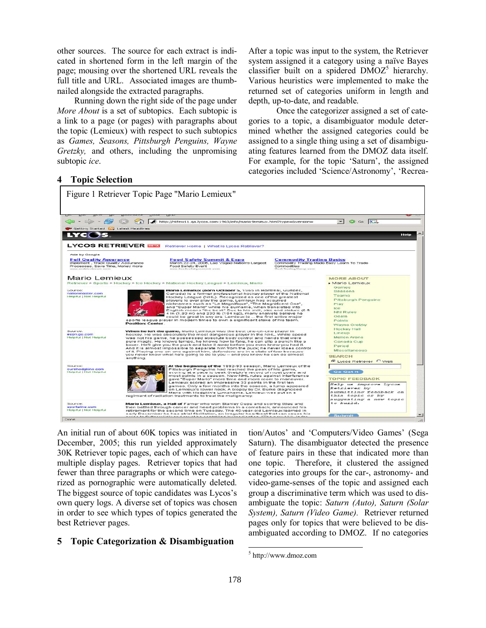other sources. The source for each extract is indicated in shortened form in the left margin of the page; mousing over the shortened URL reveals the full title and URL. Associated images are thumbnailed alongside the extracted paragraphs.

Running down the right side of the page under *More About* is a set of subtopics. Each subtopic is a link to a page (or pages) with paragraphs about the topic (Lemieux) with respect to such subtopics as *Games, Seasons, Pittsburgh Penguins, Wayne Gretzky,* and others, including the unpromising subtopic *ice*.

After a topic was input to the system, the Retriever system assigned it a category using a naïve Bayes classifier built on a spidered  $DMOZ<sup>5</sup>$  hierarchy. Various heuristics were implemented to make the returned set of categories uniform in length and depth, up-to-date, and readable.

Once the categorizer assigned a set of categories to a topic, a disambiguator module determined whether the assigned categories could be assigned to a single thing using a set of disambiguating features learned from the DMOZ data itself. For example, for the topic 'Saturn', the assigned categories included 'Science/Astronomy', 'Recrea-

# **4 Topic Selection**



An initial run of about 60K topics was initiated in December, 2005; this run yielded approximately 30K Retriever topic pages, each of which can have multiple display pages. Retriever topics that had fewer than three paragraphs or which were categorized as pornographic were automatically deleted. The biggest source of topic candidates was Lycos's own query logs. A diverse set of topics was chosen in order to see which types of topics generated the best Retriever pages.

## **5 Topic Categorization & Disambiguation**

tion/Autos' and 'Computers/Video Games' (Sega Saturn). The disambiguator detected the presence of feature pairs in these that indicated more than one topic. Therefore, it clustered the assigned categories into groups for the car-, astronomy- and video-game-senses of the topic and assigned each group a discriminative term which was used to disambiguate the topic: *Saturn (Auto), Saturn (Solar System), Saturn (Video Game).* Retriever returned pages only for topics that were believed to be disambiguated according to DMOZ. If no categories

 $\overline{a}$ 

<sup>5</sup> http://www.dmoz.com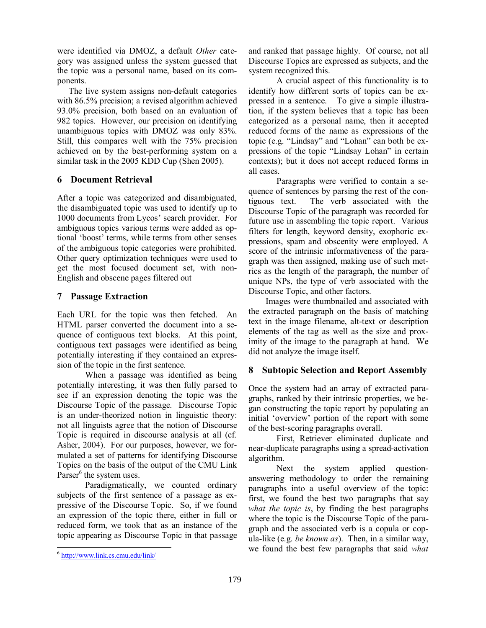were identified via DMOZ, a default *Other* category was assigned unless the system guessed that the topic was a personal name, based on its components.

The live system assigns non-default categories with 86.5% precision; a revised algorithm achieved 93.0% precision, both based on an evaluation of 982 topics. However, our precision on identifying unambiguous topics with DMOZ was only 83%. Still, this compares well with the 75% precision achieved on by the best-performing system on a similar task in the 2005 KDD Cup (Shen 2005).

# **6 Document Retrieval**

After a topic was categorized and disambiguated, the disambiguated topic was used to identify up to 1000 documents from Lycos' search provider. For ambiguous topics various terms were added as optional 'boost' terms, while terms from other senses of the ambiguous topic categories were prohibited. Other query optimization techniques were used to get the most focused document set, with non-English and obscene pages filtered out

# **7 Passage Extraction**

Each URL for the topic was then fetched. An HTML parser converted the document into a sequence of contiguous text blocks. At this point, contiguous text passages were identified as being potentially interesting if they contained an expression of the topic in the first sentence.

When a passage was identified as being potentially interesting, it was then fully parsed to see if an expression denoting the topic was the Discourse Topic of the passage. Discourse Topic is an under-theorized notion in linguistic theory: not all linguists agree that the notion of Discourse Topic is required in discourse analysis at all (cf. Asher, 2004). For our purposes, however, we formulated a set of patterns for identifying Discourse Topics on the basis of the output of the CMU Link Parser $<sup>6</sup>$  the system uses.</sup>

Paradigmatically, we counted ordinary subjects of the first sentence of a passage as expressive of the Discourse Topic. So, if we found an expression of the topic there, either in full or reduced form, we took that as an instance of the topic appearing as Discourse Topic in that passage

 $\overline{a}$ 

and ranked that passage highly. Of course, not all Discourse Topics are expressed as subjects, and the system recognized this.

A crucial aspect of this functionality is to identify how different sorts of topics can be expressed in a sentence. To give a simple illustration, if the system believes that a topic has been categorized as a personal name, then it accepted reduced forms of the name as expressions of the topic (e.g. "Lindsay" and "Lohan" can both be expressions of the topic "Lindsay Lohan" in certain contexts); but it does not accept reduced forms in all cases.

Paragraphs were verified to contain a sequence of sentences by parsing the rest of the contiguous text. The verb associated with the Discourse Topic of the paragraph was recorded for future use in assembling the topic report. Various filters for length, keyword density, exophoric expressions, spam and obscenity were employed. A score of the intrinsic informativeness of the paragraph was then assigned, making use of such metrics as the length of the paragraph, the number of unique NPs, the type of verb associated with the Discourse Topic, and other factors.

Images were thumbnailed and associated with the extracted paragraph on the basis of matching text in the image filename, alt-text or description elements of the tag as well as the size and proximity of the image to the paragraph at hand. We did not analyze the image itself.

# **8 Subtopic Selection and Report Assembly**

Once the system had an array of extracted paragraphs, ranked by their intrinsic properties, we began constructing the topic report by populating an initial 'overview' portion of the report with some of the best-scoring paragraphs overall.

First, Retriever eliminated duplicate and near-duplicate paragraphs using a spread-activation algorithm.

Next the system applied questionanswering methodology to order the remaining paragraphs into a useful overview of the topic: first, we found the best two paragraphs that say *what the topic is*, by finding the best paragraphs where the topic is the Discourse Topic of the paragraph and the associated verb is a copula or copula-like (e.g. *be known as*). Then, in a similar way, we found the best few paragraphs that said *what* 

<sup>6</sup> http://www.link.cs.cmu.edu/link/